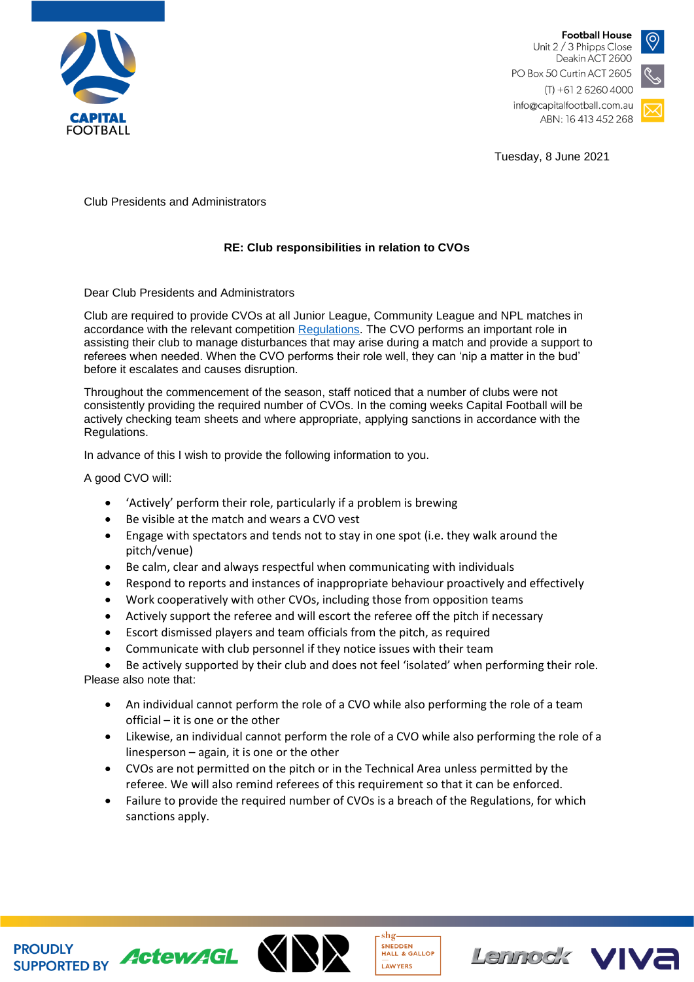

**Football House** Unit 2 / 3 Phipps Close Deakin ACT 2600 PO Box 50 Curtin ACT 2605



info@capitalfootball.com.au ABN: 16 413 452 268

Tuesday, 8 June 2021

Club Presidents and Administrators

## **RE: Club responsibilities in relation to CVOs**

Dear Club Presidents and Administrators

Club are required to provide CVOs at all Junior League, Community League and NPL matches in accordance with the relevant competition [Regulations.](https://capitalfootball.com.au/2021-capital-football-competition-regulations/) The CVO performs an important role in assisting their club to manage disturbances that may arise during a match and provide a support to referees when needed. When the CVO performs their role well, they can 'nip a matter in the bud' before it escalates and causes disruption.

Throughout the commencement of the season, staff noticed that a number of clubs were not consistently providing the required number of CVOs. In the coming weeks Capital Football will be actively checking team sheets and where appropriate, applying sanctions in accordance with the Regulations.

In advance of this I wish to provide the following information to you.

A good CVO will:

- 'Actively' perform their role, particularly if a problem is brewing
- Be visible at the match and wears a CVO vest
- Engage with spectators and tends not to stay in one spot (i.e. they walk around the pitch/venue)
- Be calm, clear and always respectful when communicating with individuals
- Respond to reports and instances of inappropriate behaviour proactively and effectively
- Work cooperatively with other CVOs, including those from opposition teams
- Actively support the referee and will escort the referee off the pitch if necessary
- Escort dismissed players and team officials from the pitch, as required
- Communicate with club personnel if they notice issues with their team

• Be actively supported by their club and does not feel 'isolated' when performing their role. Please also note that:

- An individual cannot perform the role of a CVO while also performing the role of a team official – it is one or the other
- Likewise, an individual cannot perform the role of a CVO while also performing the role of a linesperson – again, it is one or the other
- CVOs are not permitted on the pitch or in the Technical Area unless permitted by the referee. We will also remind referees of this requirement so that it can be enforced.
- Failure to provide the required number of CVOs is a breach of the Regulations, for which sanctions apply.